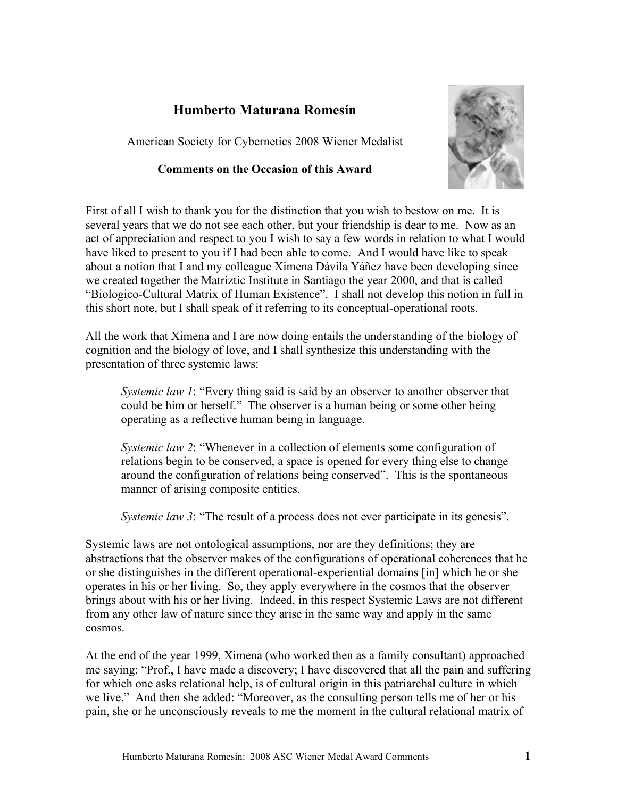## **Humberto Maturana Romesín**

American Society for Cybernetics 2008 Wiener Medalist

## **Comments on the Occasion of this Award**



First of all I wish to thank you for the distinction that you wish to bestow on me. It is several years that we do not see each other, but your friendship is dear to me. Now as an act of appreciation and respect to you I wish to say a few words in relation to what I would have liked to present to you if I had been able to come. And I would have like to speak about a notion that I and my colleague Ximena Dávila Yáñez have been developing since we created together the Matriztic Institute in Santiago the year 2000, and that is called "Biologico-Cultural Matrix of Human Existence". I shall not develop this notion in full in this short note, but I shall speak of it referring to its conceptual-operational roots.

All the work that Ximena and I are now doing entails the understanding of the biology of cognition and the biology of love, and I shall synthesize this understanding with the presentation of three systemic laws:

*Systemic law 1*: "Every thing said is said by an observer to another observer that could be him or herself." The observer is a human being or some other being operating as a reflective human being in language.

*Systemic law 2*: "Whenever in a collection of elements some configuration of relations begin to be conserved, a space is opened for every thing else to change around the configuration of relations being conserved". This is the spontaneous manner of arising composite entities.

*Systemic law 3*: "The result of a process does not ever participate in its genesis".

Systemic laws are not ontological assumptions, nor are they definitions; they are abstractions that the observer makes of the configurations of operational coherences that he or she distinguishes in the different operational-experiential domains [in] which he or she operates in his or her living. So, they apply everywhere in the cosmos that the observer brings about with his or her living. Indeed, in this respect Systemic Laws are not different from any other law of nature since they arise in the same way and apply in the same cosmos.

At the end of the year 1999, Ximena (who worked then as a family consultant) approached me saying: "Prof., I have made a discovery; I have discovered that all the pain and suffering for which one asks relational help, is of cultural origin in this patriarchal culture in which we live." And then she added: "Moreover, as the consulting person tells me of her or his pain, she or he unconsciously reveals to me the moment in the cultural relational matrix of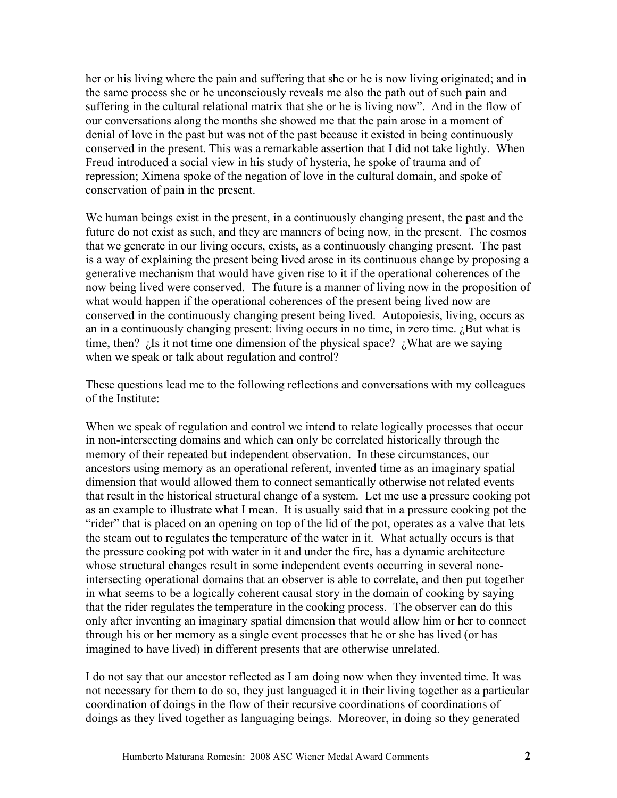her or his living where the pain and suffering that she or he is now living originated; and in the same process she or he unconsciously reveals me also the path out of such pain and suffering in the cultural relational matrix that she or he is living now". And in the flow of our conversations along the months she showed me that the pain arose in a moment of denial of love in the past but was not of the past because it existed in being continuously conserved in the present. This was a remarkable assertion that I did not take lightly. When Freud introduced a social view in his study of hysteria, he spoke of trauma and of repression; Ximena spoke of the negation of love in the cultural domain, and spoke of conservation of pain in the present.

We human beings exist in the present, in a continuously changing present, the past and the future do not exist as such, and they are manners of being now, in the present. The cosmos that we generate in our living occurs, exists, as a continuously changing present. The past is a way of explaining the present being lived arose in its continuous change by proposing a generative mechanism that would have given rise to it if the operational coherences of the now being lived were conserved. The future is a manner of living now in the proposition of what would happen if the operational coherences of the present being lived now are conserved in the continuously changing present being lived. Autopoiesis, living, occurs as an in a continuously changing present: living occurs in no time, in zero time.  $i$ But what is time, then?  $\lambda$  is it not time one dimension of the physical space?  $\lambda$  What are we saying when we speak or talk about regulation and control?

These questions lead me to the following reflections and conversations with my colleagues of the Institute:

When we speak of regulation and control we intend to relate logically processes that occur in non-intersecting domains and which can only be correlated historically through the memory of their repeated but independent observation. In these circumstances, our ancestors using memory as an operational referent, invented time as an imaginary spatial dimension that would allowed them to connect semantically otherwise not related events that result in the historical structural change of a system. Let me use a pressure cooking pot as an example to illustrate what I mean. It is usually said that in a pressure cooking pot the "rider" that is placed on an opening on top of the lid of the pot, operates as a valve that lets the steam out to regulates the temperature of the water in it. What actually occurs is that the pressure cooking pot with water in it and under the fire, has a dynamic architecture whose structural changes result in some independent events occurring in several noneintersecting operational domains that an observer is able to correlate, and then put together in what seems to be a logically coherent causal story in the domain of cooking by saying that the rider regulates the temperature in the cooking process. The observer can do this only after inventing an imaginary spatial dimension that would allow him or her to connect through his or her memory as a single event processes that he or she has lived (or has imagined to have lived) in different presents that are otherwise unrelated.

I do not say that our ancestor reflected as I am doing now when they invented time. It was not necessary for them to do so, they just languaged it in their living together as a particular coordination of doings in the flow of their recursive coordinations of coordinations of doings as they lived together as languaging beings. Moreover, in doing so they generated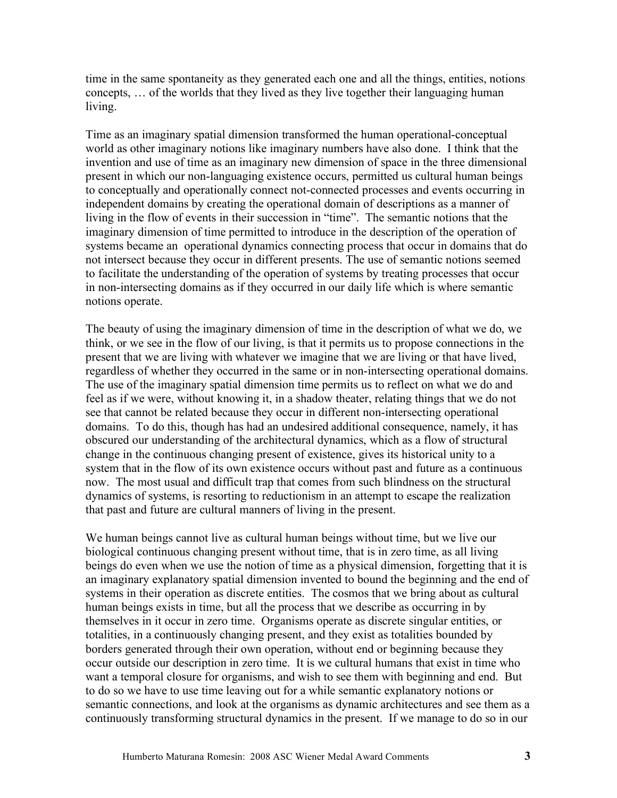time in the same spontaneity as they generated each one and all the things, entities, notions concepts, … of the worlds that they lived as they live together their languaging human living.

Time as an imaginary spatial dimension transformed the human operational-conceptual world as other imaginary notions like imaginary numbers have also done. I think that the invention and use of time as an imaginary new dimension of space in the three dimensional present in which our non-languaging existence occurs, permitted us cultural human beings to conceptually and operationally connect not-connected processes and events occurring in independent domains by creating the operational domain of descriptions as a manner of living in the flow of events in their succession in "time". The semantic notions that the imaginary dimension of time permitted to introduce in the description of the operation of systems became an operational dynamics connecting process that occur in domains that do not intersect because they occur in different presents. The use of semantic notions seemed to facilitate the understanding of the operation of systems by treating processes that occur in non-intersecting domains as if they occurred in our daily life which is where semantic notions operate.

The beauty of using the imaginary dimension of time in the description of what we do, we think, or we see in the flow of our living, is that it permits us to propose connections in the present that we are living with whatever we imagine that we are living or that have lived, regardless of whether they occurred in the same or in non-intersecting operational domains. The use of the imaginary spatial dimension time permits us to reflect on what we do and feel as if we were, without knowing it, in a shadow theater, relating things that we do not see that cannot be related because they occur in different non-intersecting operational domains. To do this, though has had an undesired additional consequence, namely, it has obscured our understanding of the architectural dynamics, which as a flow of structural change in the continuous changing present of existence, gives its historical unity to a system that in the flow of its own existence occurs without past and future as a continuous now. The most usual and difficult trap that comes from such blindness on the structural dynamics of systems, is resorting to reductionism in an attempt to escape the realization that past and future are cultural manners of living in the present.

We human beings cannot live as cultural human beings without time, but we live our biological continuous changing present without time, that is in zero time, as all living beings do even when we use the notion of time as a physical dimension, forgetting that it is an imaginary explanatory spatial dimension invented to bound the beginning and the end of systems in their operation as discrete entities. The cosmos that we bring about as cultural human beings exists in time, but all the process that we describe as occurring in by themselves in it occur in zero time. Organisms operate as discrete singular entities, or totalities, in a continuously changing present, and they exist as totalities bounded by borders generated through their own operation, without end or beginning because they occur outside our description in zero time. It is we cultural humans that exist in time who want a temporal closure for organisms, and wish to see them with beginning and end. But to do so we have to use time leaving out for a while semantic explanatory notions or semantic connections, and look at the organisms as dynamic architectures and see them as a continuously transforming structural dynamics in the present. If we manage to do so in our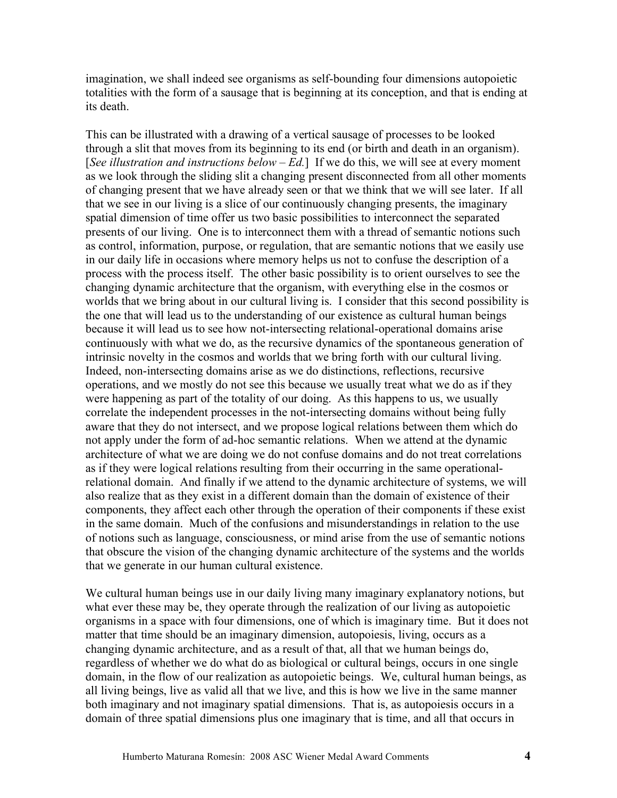imagination, we shall indeed see organisms as self-bounding four dimensions autopoietic totalities with the form of a sausage that is beginning at its conception, and that is ending at its death.

This can be illustrated with a drawing of a vertical sausage of processes to be looked through a slit that moves from its beginning to its end (or birth and death in an organism). [*See illustration and instructions below – Ed.*] If we do this, we will see at every moment as we look through the sliding slit a changing present disconnected from all other moments of changing present that we have already seen or that we think that we will see later. If all that we see in our living is a slice of our continuously changing presents, the imaginary spatial dimension of time offer us two basic possibilities to interconnect the separated presents of our living. One is to interconnect them with a thread of semantic notions such as control, information, purpose, or regulation, that are semantic notions that we easily use in our daily life in occasions where memory helps us not to confuse the description of a process with the process itself. The other basic possibility is to orient ourselves to see the changing dynamic architecture that the organism, with everything else in the cosmos or worlds that we bring about in our cultural living is. I consider that this second possibility is the one that will lead us to the understanding of our existence as cultural human beings because it will lead us to see how not-intersecting relational-operational domains arise continuously with what we do, as the recursive dynamics of the spontaneous generation of intrinsic novelty in the cosmos and worlds that we bring forth with our cultural living. Indeed, non-intersecting domains arise as we do distinctions, reflections, recursive operations, and we mostly do not see this because we usually treat what we do as if they were happening as part of the totality of our doing. As this happens to us, we usually correlate the independent processes in the not-intersecting domains without being fully aware that they do not intersect, and we propose logical relations between them which do not apply under the form of ad-hoc semantic relations. When we attend at the dynamic architecture of what we are doing we do not confuse domains and do not treat correlations as if they were logical relations resulting from their occurring in the same operationalrelational domain. And finally if we attend to the dynamic architecture of systems, we will also realize that as they exist in a different domain than the domain of existence of their components, they affect each other through the operation of their components if these exist in the same domain. Much of the confusions and misunderstandings in relation to the use of notions such as language, consciousness, or mind arise from the use of semantic notions that obscure the vision of the changing dynamic architecture of the systems and the worlds that we generate in our human cultural existence.

We cultural human beings use in our daily living many imaginary explanatory notions, but what ever these may be, they operate through the realization of our living as autopoietic organisms in a space with four dimensions, one of which is imaginary time. But it does not matter that time should be an imaginary dimension, autopoiesis, living, occurs as a changing dynamic architecture, and as a result of that, all that we human beings do, regardless of whether we do what do as biological or cultural beings, occurs in one single domain, in the flow of our realization as autopoietic beings. We, cultural human beings, as all living beings, live as valid all that we live, and this is how we live in the same manner both imaginary and not imaginary spatial dimensions. That is, as autopoiesis occurs in a domain of three spatial dimensions plus one imaginary that is time, and all that occurs in